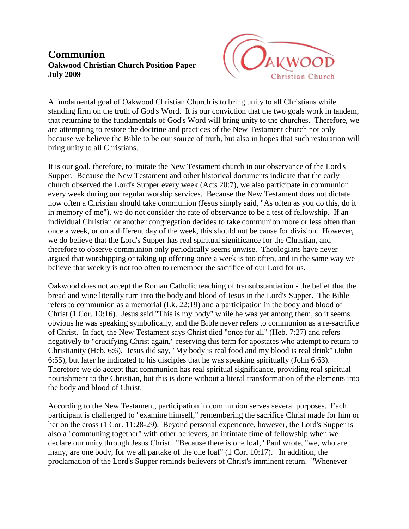## **Communion Oakwood Christian Church Position Paper July 2009**



A fundamental goal of Oakwood Christian Church is to bring unity to all Christians while standing firm on the truth of God's Word. It is our conviction that the two goals work in tandem, that returning to the fundamentals of God's Word will bring unity to the churches. Therefore, we are attempting to restore the doctrine and practices of the New Testament church not only because we believe the Bible to be our source of truth, but also in hopes that such restoration will bring unity to all Christians.

It is our goal, therefore, to imitate the New Testament church in our observance of the Lord's Supper. Because the New Testament and other historical documents indicate that the early church observed the Lord's Supper every week (Acts 20:7), we also participate in communion every week during our regular worship services. Because the New Testament does not dictate how often a Christian should take communion (Jesus simply said, "As often as you do this, do it in memory of me"), we do not consider the rate of observance to be a test of fellowship. If an individual Christian or another congregation decides to take communion more or less often than once a week, or on a different day of the week, this should not be cause for division. However, we do believe that the Lord's Supper has real spiritual significance for the Christian, and therefore to observe communion only periodically seems unwise. Theologians have never argued that worshipping or taking up offering once a week is too often, and in the same way we believe that weekly is not too often to remember the sacrifice of our Lord for us.

Oakwood does not accept the Roman Catholic teaching of transubstantiation - the belief that the bread and wine literally turn into the body and blood of Jesus in the Lord's Supper. The Bible refers to communion as a memorial (Lk. 22:19) and a participation in the body and blood of Christ (1 Cor. 10:16). Jesus said "This is my body" while he was yet among them, so it seems obvious he was speaking symbolically, and the Bible never refers to communion as a re-sacrifice of Christ. In fact, the New Testament says Christ died "once for all" (Heb. 7:27) and refers negatively to "crucifying Christ again," reserving this term for apostates who attempt to return to Christianity (Heb. 6:6). Jesus did say, "My body is real food and my blood is real drink" (John 6:55), but later he indicated to his disciples that he was speaking spiritually (John 6:63). Therefore we do accept that communion has real spiritual significance, providing real spiritual nourishment to the Christian, but this is done without a literal transformation of the elements into the body and blood of Christ.

According to the New Testament, participation in communion serves several purposes. Each participant is challenged to "examine himself," remembering the sacrifice Christ made for him or her on the cross (1 Cor. 11:28-29). Beyond personal experience, however, the Lord's Supper is also a "communing together" with other believers, an intimate time of fellowship when we declare our unity through Jesus Christ. "Because there is one loaf," Paul wrote, "we, who are many, are one body, for we all partake of the one loaf" (1 Cor. 10:17). In addition, the proclamation of the Lord's Supper reminds believers of Christ's imminent return. "Whenever